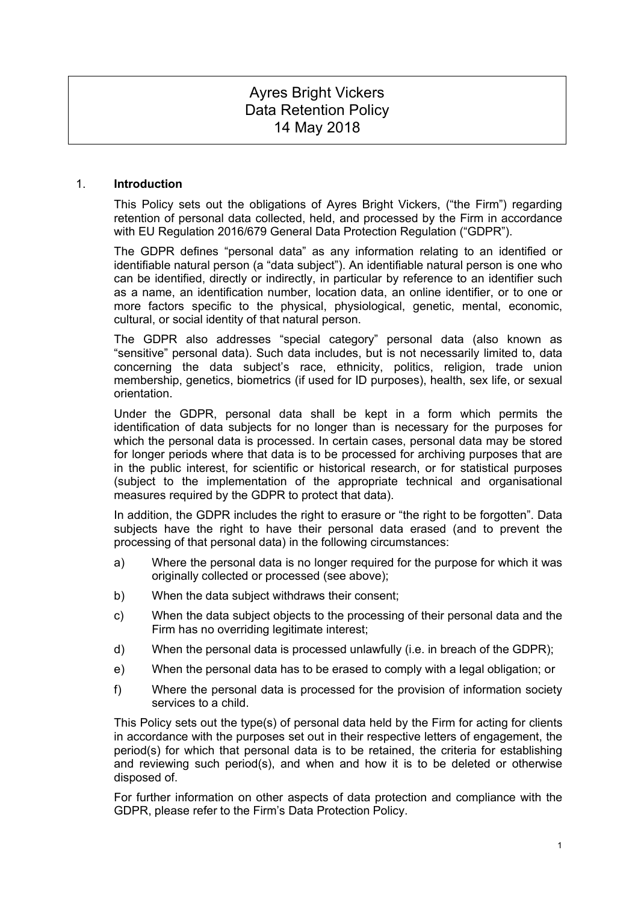# Ayres Bright Vickers Data Retention Policy 14 May 2018

#### 1. **Introduction**

This Policy sets out the obligations of Ayres Bright Vickers, ("the Firm") regarding retention of personal data collected, held, and processed by the Firm in accordance with EU Regulation 2016/679 General Data Protection Regulation ("GDPR").

The GDPR defines "personal data" as any information relating to an identified or identifiable natural person (a "data subject"). An identifiable natural person is one who can be identified, directly or indirectly, in particular by reference to an identifier such as a name, an identification number, location data, an online identifier, or to one or more factors specific to the physical, physiological, genetic, mental, economic, cultural, or social identity of that natural person.

The GDPR also addresses "special category" personal data (also known as "sensitive" personal data). Such data includes, but is not necessarily limited to, data concerning the data subject's race, ethnicity, politics, religion, trade union membership, genetics, biometrics (if used for ID purposes), health, sex life, or sexual orientation.

Under the GDPR, personal data shall be kept in a form which permits the identification of data subjects for no longer than is necessary for the purposes for which the personal data is processed. In certain cases, personal data may be stored for longer periods where that data is to be processed for archiving purposes that are in the public interest, for scientific or historical research, or for statistical purposes (subject to the implementation of the appropriate technical and organisational measures required by the GDPR to protect that data).

In addition, the GDPR includes the right to erasure or "the right to be forgotten". Data subjects have the right to have their personal data erased (and to prevent the processing of that personal data) in the following circumstances:

- a) Where the personal data is no longer required for the purpose for which it was originally collected or processed (see above);
- b) When the data subject withdraws their consent;
- c) When the data subject objects to the processing of their personal data and the Firm has no overriding legitimate interest;
- d) When the personal data is processed unlawfully (i.e. in breach of the GDPR);
- e) When the personal data has to be erased to comply with a legal obligation; or
- f) Where the personal data is processed for the provision of information society services to a child.

This Policy sets out the type(s) of personal data held by the Firm for acting for clients in accordance with the purposes set out in their respective letters of engagement, the period(s) for which that personal data is to be retained, the criteria for establishing and reviewing such period(s), and when and how it is to be deleted or otherwise disposed of.

For further information on other aspects of data protection and compliance with the GDPR, please refer to the Firm's Data Protection Policy.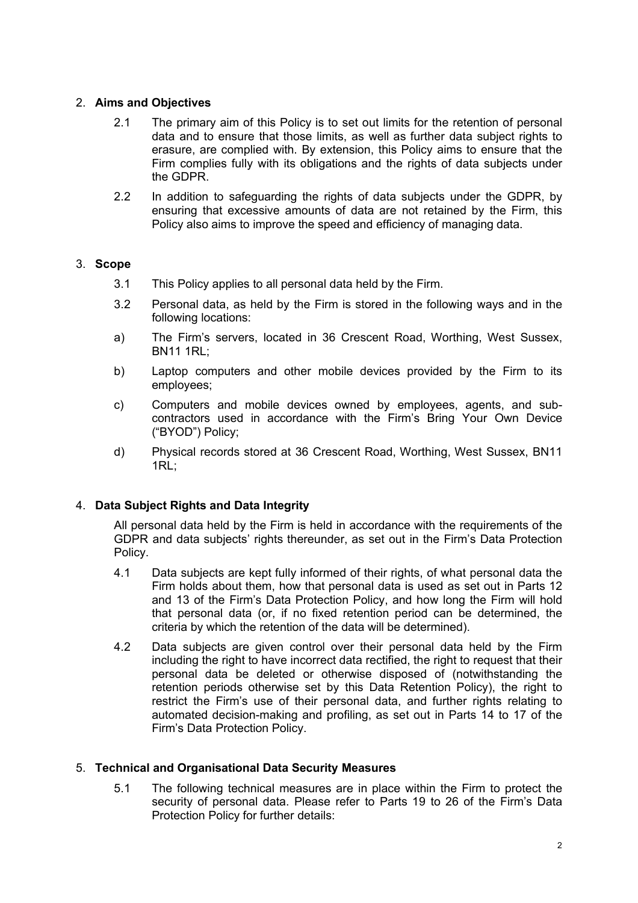# 2. **Aims and Objectives**

- 2.1 The primary aim of this Policy is to set out limits for the retention of personal data and to ensure that those limits, as well as further data subject rights to erasure, are complied with. By extension, this Policy aims to ensure that the Firm complies fully with its obligations and the rights of data subjects under the GDPR.
- 2.2 In addition to safeguarding the rights of data subjects under the GDPR, by ensuring that excessive amounts of data are not retained by the Firm, this Policy also aims to improve the speed and efficiency of managing data.

# 3. **Scope**

- 3.1 This Policy applies to all personal data held by the Firm.
- 3.2 Personal data, as held by the Firm is stored in the following ways and in the following locations:
- a) The Firm's servers, located in 36 Crescent Road, Worthing, West Sussex, BN11 1RL;
- b) Laptop computers and other mobile devices provided by the Firm to its employees;
- c) Computers and mobile devices owned by employees, agents, and subcontractors used in accordance with the Firm's Bring Your Own Device ("BYOD") Policy;
- d) Physical records stored at 36 Crescent Road, Worthing, West Sussex, BN11 1RL;

# 4. **Data Subject Rights and Data Integrity**

All personal data held by the Firm is held in accordance with the requirements of the GDPR and data subjects' rights thereunder, as set out in the Firm's Data Protection Policy.

- 4.1 Data subjects are kept fully informed of their rights, of what personal data the Firm holds about them, how that personal data is used as set out in Parts 12 and 13 of the Firm's Data Protection Policy, and how long the Firm will hold that personal data (or, if no fixed retention period can be determined, the criteria by which the retention of the data will be determined).
- 4.2 Data subjects are given control over their personal data held by the Firm including the right to have incorrect data rectified, the right to request that their personal data be deleted or otherwise disposed of (notwithstanding the retention periods otherwise set by this Data Retention Policy), the right to restrict the Firm's use of their personal data, and further rights relating to automated decision-making and profiling, as set out in Parts 14 to 17 of the Firm's Data Protection Policy.

#### 5. **Technical and Organisational Data Security Measures**

5.1 The following technical measures are in place within the Firm to protect the security of personal data. Please refer to Parts 19 to 26 of the Firm's Data Protection Policy for further details: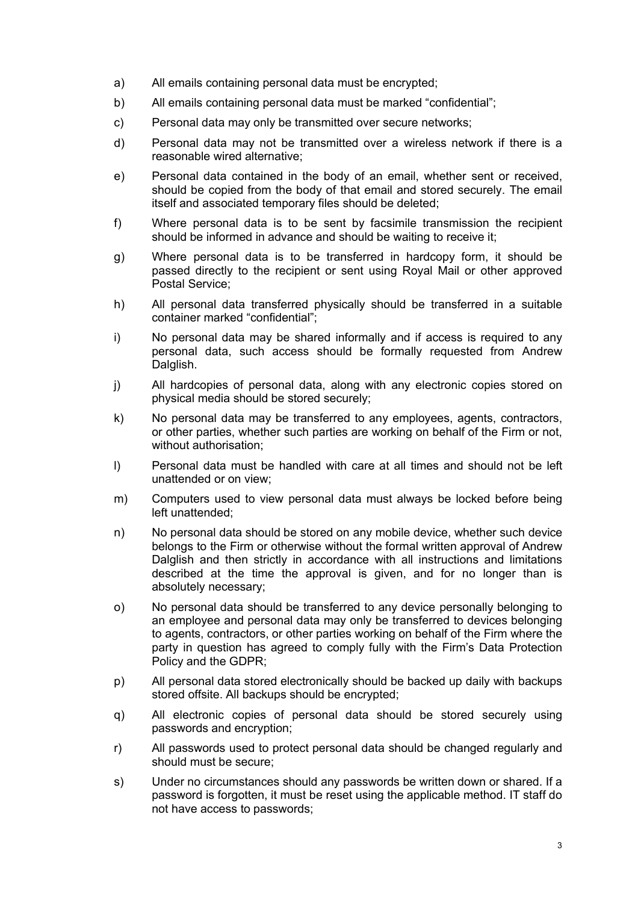- a) All emails containing personal data must be encrypted;
- b) All emails containing personal data must be marked "confidential";
- c) Personal data may only be transmitted over secure networks;
- d) Personal data may not be transmitted over a wireless network if there is a reasonable wired alternative;
- e) Personal data contained in the body of an email, whether sent or received, should be copied from the body of that email and stored securely. The email itself and associated temporary files should be deleted;
- f) Where personal data is to be sent by facsimile transmission the recipient should be informed in advance and should be waiting to receive it;
- g) Where personal data is to be transferred in hardcopy form, it should be passed directly to the recipient or sent using Royal Mail or other approved Postal Service;
- h) All personal data transferred physically should be transferred in a suitable container marked "confidential";
- i) No personal data may be shared informally and if access is required to any personal data, such access should be formally requested from Andrew Dalglish.
- j) All hardcopies of personal data, along with any electronic copies stored on physical media should be stored securely;
- k) No personal data may be transferred to any employees, agents, contractors, or other parties, whether such parties are working on behalf of the Firm or not, without authorisation;
- l) Personal data must be handled with care at all times and should not be left unattended or on view;
- m) Computers used to view personal data must always be locked before being left unattended;
- n) No personal data should be stored on any mobile device, whether such device belongs to the Firm or otherwise without the formal written approval of Andrew Dalglish and then strictly in accordance with all instructions and limitations described at the time the approval is given, and for no longer than is absolutely necessary;
- o) No personal data should be transferred to any device personally belonging to an employee and personal data may only be transferred to devices belonging to agents, contractors, or other parties working on behalf of the Firm where the party in question has agreed to comply fully with the Firm's Data Protection Policy and the GDPR;
- p) All personal data stored electronically should be backed up daily with backups stored offsite. All backups should be encrypted;
- q) All electronic copies of personal data should be stored securely using passwords and encryption;
- r) All passwords used to protect personal data should be changed regularly and should must be secure;
- s) Under no circumstances should any passwords be written down or shared. If a password is forgotten, it must be reset using the applicable method. IT staff do not have access to passwords;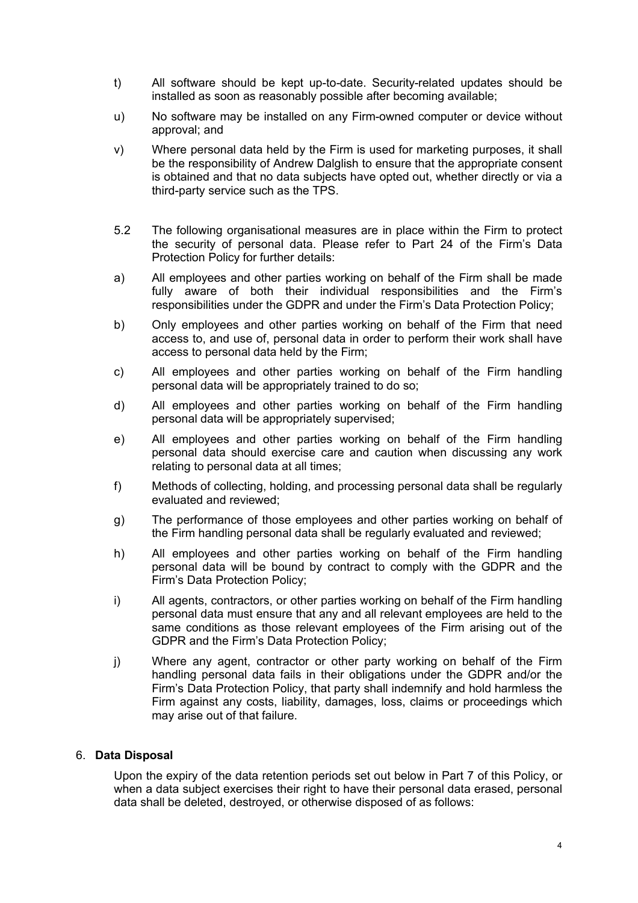- t) All software should be kept up-to-date. Security-related updates should be installed as soon as reasonably possible after becoming available;
- u) No software may be installed on any Firm-owned computer or device without approval; and
- v) Where personal data held by the Firm is used for marketing purposes, it shall be the responsibility of Andrew Dalglish to ensure that the appropriate consent is obtained and that no data subjects have opted out, whether directly or via a third-party service such as the TPS.
- 5.2 The following organisational measures are in place within the Firm to protect the security of personal data. Please refer to Part 24 of the Firm's Data Protection Policy for further details:
- a) All employees and other parties working on behalf of the Firm shall be made fully aware of both their individual responsibilities and the Firm's responsibilities under the GDPR and under the Firm's Data Protection Policy;
- b) Only employees and other parties working on behalf of the Firm that need access to, and use of, personal data in order to perform their work shall have access to personal data held by the Firm;
- c) All employees and other parties working on behalf of the Firm handling personal data will be appropriately trained to do so;
- d) All employees and other parties working on behalf of the Firm handling personal data will be appropriately supervised;
- e) All employees and other parties working on behalf of the Firm handling personal data should exercise care and caution when discussing any work relating to personal data at all times;
- f) Methods of collecting, holding, and processing personal data shall be regularly evaluated and reviewed;
- g) The performance of those employees and other parties working on behalf of the Firm handling personal data shall be regularly evaluated and reviewed;
- h) All employees and other parties working on behalf of the Firm handling personal data will be bound by contract to comply with the GDPR and the Firm's Data Protection Policy;
- i) All agents, contractors, or other parties working on behalf of the Firm handling personal data must ensure that any and all relevant employees are held to the same conditions as those relevant employees of the Firm arising out of the GDPR and the Firm's Data Protection Policy;
- j) Where any agent, contractor or other party working on behalf of the Firm handling personal data fails in their obligations under the GDPR and/or the Firm's Data Protection Policy, that party shall indemnify and hold harmless the Firm against any costs, liability, damages, loss, claims or proceedings which may arise out of that failure.

#### 6. **Data Disposal**

Upon the expiry of the data retention periods set out below in Part 7 of this Policy, or when a data subject exercises their right to have their personal data erased, personal data shall be deleted, destroyed, or otherwise disposed of as follows: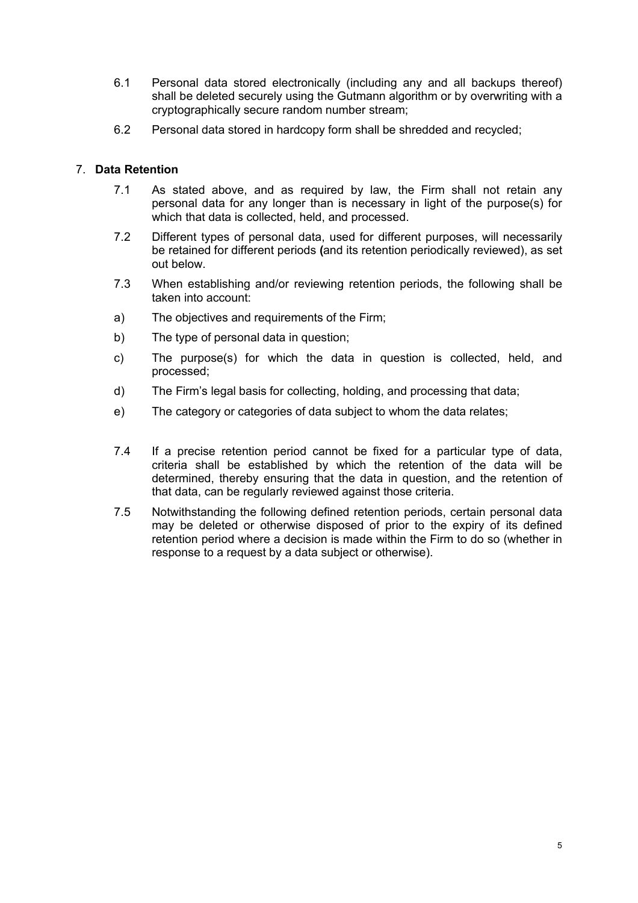- 6.1 Personal data stored electronically (including any and all backups thereof) shall be deleted securely using the Gutmann algorithm or by overwriting with a cryptographically secure random number stream;
- 6.2 Personal data stored in hardcopy form shall be shredded and recycled;

## 7. **Data Retention**

- 7.1 As stated above, and as required by law, the Firm shall not retain any personal data for any longer than is necessary in light of the purpose(s) for which that data is collected, held, and processed.
- 7.2 Different types of personal data, used for different purposes, will necessarily be retained for different periods **(**and its retention periodically reviewed), as set out below.
- 7.3 When establishing and/or reviewing retention periods, the following shall be taken into account:
- a) The objectives and requirements of the Firm;
- b) The type of personal data in question;
- c) The purpose(s) for which the data in question is collected, held, and processed;
- d) The Firm's legal basis for collecting, holding, and processing that data;
- e) The category or categories of data subject to whom the data relates;
- 7.4 If a precise retention period cannot be fixed for a particular type of data, criteria shall be established by which the retention of the data will be determined, thereby ensuring that the data in question, and the retention of that data, can be regularly reviewed against those criteria.
- 7.5 Notwithstanding the following defined retention periods, certain personal data may be deleted or otherwise disposed of prior to the expiry of its defined retention period where a decision is made within the Firm to do so (whether in response to a request by a data subject or otherwise).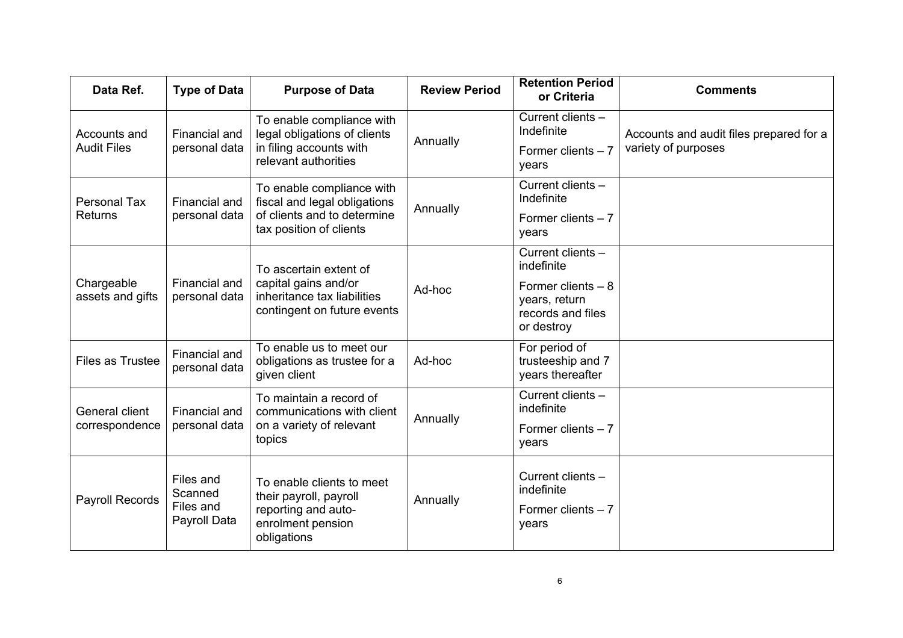| Data Ref.                             | <b>Type of Data</b>                               | <b>Purpose of Data</b>                                                                                              | <b>Review Period</b> | <b>Retention Period</b><br>or Criteria                          | <b>Comments</b>                                                |
|---------------------------------------|---------------------------------------------------|---------------------------------------------------------------------------------------------------------------------|----------------------|-----------------------------------------------------------------|----------------------------------------------------------------|
| Accounts and<br><b>Audit Files</b>    | Financial and<br>personal data                    | To enable compliance with<br>legal obligations of clients<br>in filing accounts with<br>relevant authorities        | Annually             | Current clients -<br>Indefinite                                 | Accounts and audit files prepared for a<br>variety of purposes |
|                                       |                                                   |                                                                                                                     |                      | Former clients $-7$<br>years                                    |                                                                |
| <b>Personal Tax</b><br><b>Returns</b> | Financial and<br>personal data                    | To enable compliance with<br>fiscal and legal obligations<br>of clients and to determine<br>tax position of clients | Annually             | Current clients -<br>Indefinite                                 |                                                                |
|                                       |                                                   |                                                                                                                     |                      | Former clients $-7$<br>years                                    |                                                                |
| Chargeable<br>assets and gifts        | Financial and<br>personal data                    | To ascertain extent of<br>capital gains and/or<br>inheritance tax liabilities<br>contingent on future events        | Ad-hoc               | Current clients -<br>indefinite                                 |                                                                |
|                                       |                                                   |                                                                                                                     |                      | Former clients $-8$<br>years, return                            |                                                                |
|                                       |                                                   |                                                                                                                     |                      | records and files<br>or destroy                                 |                                                                |
| <b>Files as Trustee</b>               | Financial and<br>personal data                    | To enable us to meet our<br>obligations as trustee for a<br>given client                                            | Ad-hoc               | For period of<br>trusteeship and 7<br>years thereafter          |                                                                |
| General client<br>correspondence      | <b>Financial and</b><br>personal data             | To maintain a record of<br>communications with client<br>on a variety of relevant<br>topics                         | Annually             | Current clients -<br>indefinite                                 |                                                                |
|                                       |                                                   |                                                                                                                     |                      | Former clients $-7$<br>years                                    |                                                                |
| Payroll Records                       | Files and<br>Scanned<br>Files and<br>Payroll Data | To enable clients to meet<br>their payroll, payroll<br>reporting and auto-<br>enrolment pension<br>obligations      | Annually             | Current clients -<br>indefinite<br>Former clients $-7$<br>years |                                                                |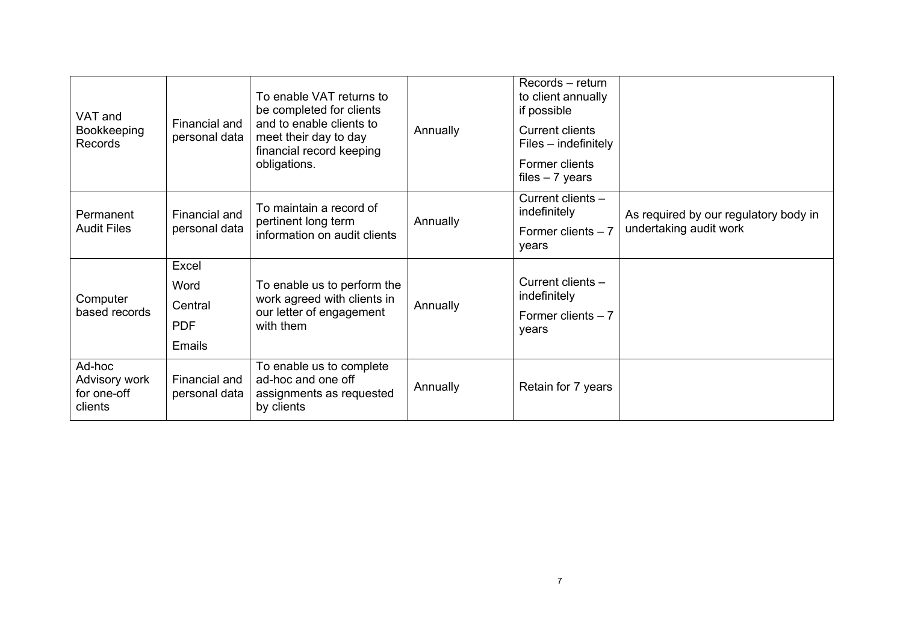| VAT and<br>Bookkeeping<br>Records                 | Financial and<br>personal data                          | To enable VAT returns to<br>be completed for clients<br>and to enable clients to<br>meet their day to day<br>financial record keeping<br>obligations. | Annually | Records - return<br>to client annually<br>if possible<br><b>Current clients</b><br>$Files$ – indefinitely<br>Former clients<br>files $-7$ years |                                                                 |
|---------------------------------------------------|---------------------------------------------------------|-------------------------------------------------------------------------------------------------------------------------------------------------------|----------|-------------------------------------------------------------------------------------------------------------------------------------------------|-----------------------------------------------------------------|
| Permanent<br><b>Audit Files</b>                   | Financial and<br>personal data                          | To maintain a record of<br>pertinent long term<br>information on audit clients                                                                        | Annually | Current clients -<br>indefinitely<br>Former clients $-7$<br>years                                                                               | As required by our regulatory body in<br>undertaking audit work |
| Computer<br>based records                         | Excel<br>Word<br>Central<br><b>PDF</b><br><b>Emails</b> | To enable us to perform the<br>work agreed with clients in<br>our letter of engagement<br>with them                                                   | Annually | Current clients -<br>indefinitely<br>Former clients $-7$<br>years                                                                               |                                                                 |
| Ad-hoc<br>Advisory work<br>for one-off<br>clients | Financial and<br>personal data                          | To enable us to complete<br>ad-hoc and one off<br>assignments as requested<br>by clients                                                              | Annually | Retain for 7 years                                                                                                                              |                                                                 |